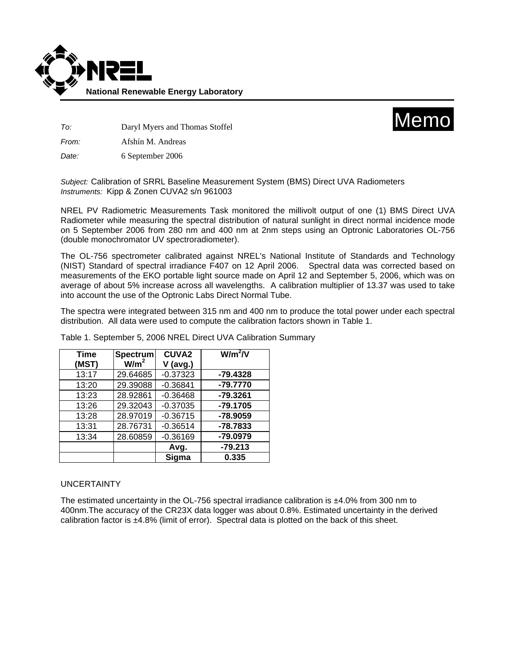



*To:* Daryl Myers and Thomas Stoffel

*From:* Afshín M. Andreas

*Date:* 6 September 2006

*Subject:* Calibration of SRRL Baseline Measurement System (BMS) Direct UVA Radiometers *Instruments:* Kipp & Zonen CUVA2 s/n 961003

NREL PV Radiometric Measurements Task monitored the millivolt output of one (1) BMS Direct UVA Radiometer while measuring the spectral distribution of natural sunlight in direct normal incidence mode on 5 September 2006 from 280 nm and 400 nm at 2nm steps using an Optronic Laboratories OL-756 (double monochromator UV spectroradiometer).

The OL-756 spectrometer calibrated against NREL's National Institute of Standards and Technology (NIST) Standard of spectral irradiance F407 on 12 April 2006. Spectral data was corrected based on measurements of the EKO portable light source made on April 12 and September 5, 2006, which was on average of about 5% increase across all wavelengths. A calibration multiplier of 13.37 was used to take into account the use of the Optronic Labs Direct Normal Tube.

The spectra were integrated between 315 nm and 400 nm to produce the total power under each spectral distribution. All data were used to compute the calibration factors shown in Table 1.

| <b>Time</b> | Spectrum         | <b>CUVA2</b> | $W/m^2/V$  |
|-------------|------------------|--------------|------------|
| (MST)       | W/m <sup>2</sup> | $V$ (avg.)   |            |
| 13:17       | 29.64685         | $-0.37323$   | $-79.4328$ |
| 13:20       | 29.39088         | $-0.36841$   | -79.7770   |
| 13:23       | 28.92861         | $-0.36468$   | $-79.3261$ |
| 13:26       | 29.32043         | $-0.37035$   | $-79.1705$ |
| 13:28       | 28.97019         | $-0.36715$   | -78.9059   |
| 13:31       | 28.76731         | $-0.36514$   | $-78.7833$ |
| 13:34       | 28.60859         | $-0.36169$   | -79.0979   |
|             |                  | Avg.         | $-79.213$  |
|             |                  | Sigma        | 0.335      |

Table 1. September 5, 2006 NREL Direct UVA Calibration Summary

## UNCERTAINTY

The estimated uncertainty in the OL-756 spectral irradiance calibration is  $\pm 4.0\%$  from 300 nm to 400nm.The accuracy of the CR23X data logger was about 0.8%. Estimated uncertainty in the derived calibration factor is ±4.8% (limit of error). Spectral data is plotted on the back of this sheet.